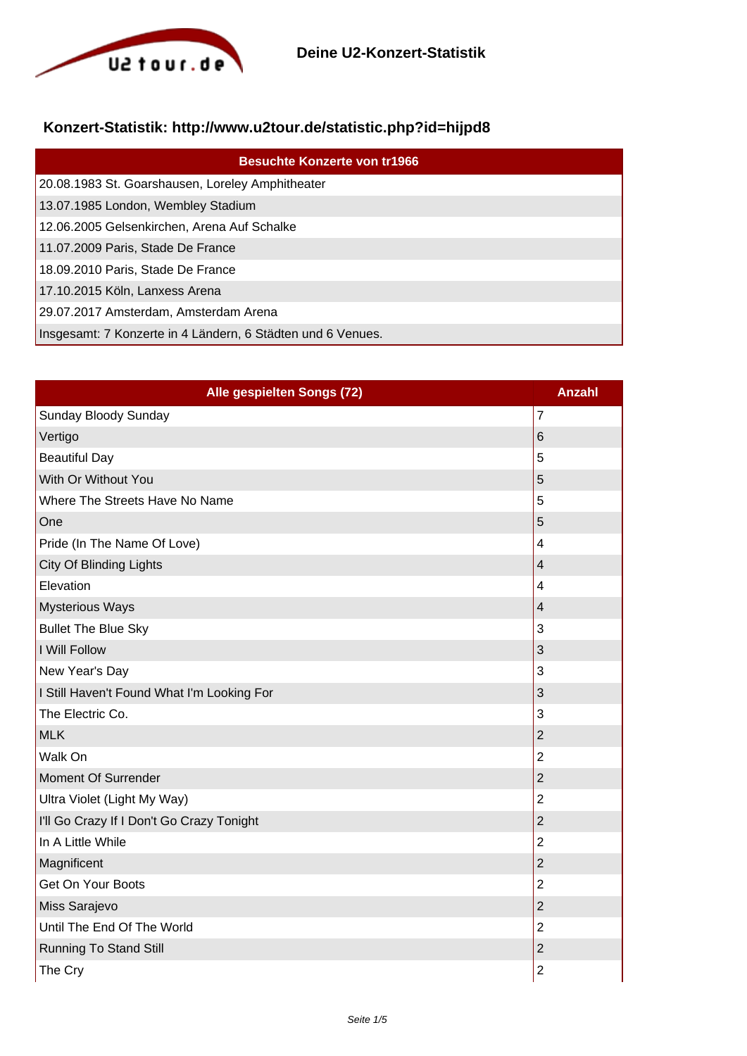

## **Konzert-Statistik: http://www.u2tour.de/statistic.php?id=hijpd8**

| <b>Besuchte Konzerte von tr1966</b>                         |
|-------------------------------------------------------------|
| 20.08.1983 St. Goarshausen, Loreley Amphitheater            |
| 13.07.1985 London, Wembley Stadium                          |
| 12.06.2005 Gelsenkirchen, Arena Auf Schalke                 |
| 11.07.2009 Paris, Stade De France                           |
| 18.09.2010 Paris, Stade De France                           |
| 17.10.2015 Köln, Lanxess Arena                              |
| 29.07.2017 Amsterdam, Amsterdam Arena                       |
| Insgesamt: 7 Konzerte in 4 Ländern, 6 Städten und 6 Venues. |

| Alle gespielten Songs (72)                 | <b>Anzahl</b>            |
|--------------------------------------------|--------------------------|
| Sunday Bloody Sunday                       | $\overline{7}$           |
| Vertigo                                    | 6                        |
| <b>Beautiful Day</b>                       | 5                        |
| With Or Without You                        | 5                        |
| Where The Streets Have No Name             | 5                        |
| One                                        | 5                        |
| Pride (In The Name Of Love)                | $\overline{\mathbf{4}}$  |
| City Of Blinding Lights                    | $\overline{\mathcal{L}}$ |
| Elevation                                  | $\overline{4}$           |
| <b>Mysterious Ways</b>                     | $\overline{4}$           |
| <b>Bullet The Blue Sky</b>                 | 3                        |
| I Will Follow                              | 3                        |
| New Year's Day                             | 3                        |
| I Still Haven't Found What I'm Looking For | 3                        |
| The Electric Co.                           | 3                        |
| <b>MLK</b>                                 | $\overline{2}$           |
| <b>Walk On</b>                             | $\overline{2}$           |
| Moment Of Surrender                        | $\overline{2}$           |
| Ultra Violet (Light My Way)                | $\overline{2}$           |
| I'll Go Crazy If I Don't Go Crazy Tonight  | $\overline{2}$           |
| In A Little While                          | $\overline{2}$           |
| Magnificent                                | $\overline{2}$           |
| Get On Your Boots                          | $\overline{2}$           |
| Miss Sarajevo                              | $\overline{2}$           |
| Until The End Of The World                 | $\overline{2}$           |
| <b>Running To Stand Still</b>              | $\overline{2}$           |
| The Cry                                    | $\overline{2}$           |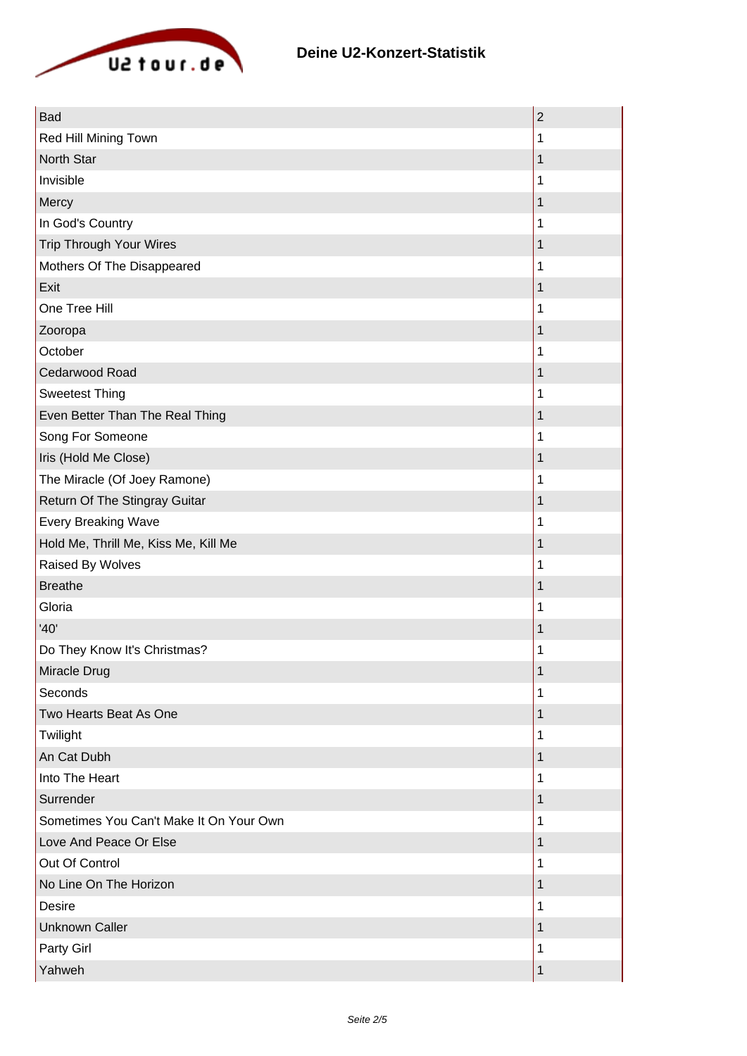

| <b>Bad</b>                              | $\overline{2}$ |
|-----------------------------------------|----------------|
| Red Hill Mining Town                    | 1              |
| North Star                              | 1              |
| Invisible                               | 1              |
| Mercy                                   | 1              |
| In God's Country                        | 1              |
| Trip Through Your Wires                 | 1              |
| Mothers Of The Disappeared              | 1              |
| Exit                                    | 1              |
| One Tree Hill                           |                |
| Zooropa                                 | 1              |
| October                                 | 1              |
| Cedarwood Road                          | 1              |
| <b>Sweetest Thing</b>                   | 1              |
| Even Better Than The Real Thing         | 1              |
| Song For Someone                        | 1              |
| Iris (Hold Me Close)                    | 1              |
| The Miracle (Of Joey Ramone)            | 1              |
| Return Of The Stingray Guitar           | 1              |
| <b>Every Breaking Wave</b>              | 1              |
| Hold Me, Thrill Me, Kiss Me, Kill Me    | 1              |
| Raised By Wolves                        |                |
| <b>Breathe</b>                          | 1              |
| Gloria                                  | 1              |
| '40'                                    | 1              |
| Do They Know It's Christmas?            | 1              |
| Miracle Drug                            | 1              |
| Seconds                                 | 1              |
| Two Hearts Beat As One                  | 1              |
| Twilight                                | 1              |
| An Cat Dubh                             | 1              |
| Into The Heart                          | 1              |
| Surrender                               | 1              |
| Sometimes You Can't Make It On Your Own | 1              |
| Love And Peace Or Else                  | 1              |
| Out Of Control                          | 1              |
| No Line On The Horizon                  | 1              |
| Desire                                  | 1              |
| <b>Unknown Caller</b>                   | 1              |
| Party Girl                              | 1              |
| Yahweh                                  | 1              |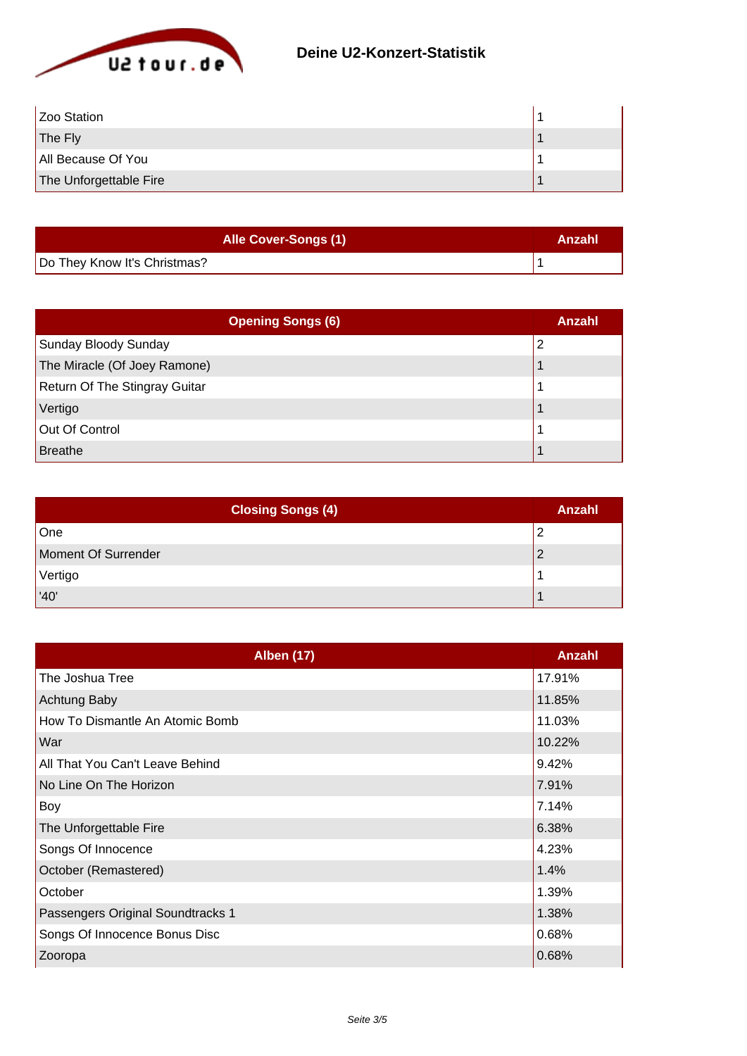

| Zoo Station            |  |
|------------------------|--|
| The Fly                |  |
| All Because Of You     |  |
| The Unforgettable Fire |  |

| <b>Alle Cover-Songs (1)</b>  | Anzahl |
|------------------------------|--------|
| Do They Know It's Christmas? |        |

| <b>Opening Songs (6)</b>             | Anzahl |
|--------------------------------------|--------|
| Sunday Bloody Sunday                 | 2      |
| The Miracle (Of Joey Ramone)         |        |
| <b>Return Of The Stingray Guitar</b> |        |
| Vertigo                              |        |
| Out Of Control                       |        |
| <b>Breathe</b>                       |        |

| <b>Closing Songs (4)</b> | Anzahl |
|--------------------------|--------|
| One                      |        |
| Moment Of Surrender      |        |
| Vertigo                  |        |
| '40'                     |        |

| <b>Alben (17)</b>                 | <b>Anzahl</b> |
|-----------------------------------|---------------|
| The Joshua Tree                   | 17.91%        |
| Achtung Baby                      | 11.85%        |
| How To Dismantle An Atomic Bomb   | 11.03%        |
| War                               | 10.22%        |
| All That You Can't Leave Behind   | 9.42%         |
| No Line On The Horizon            | 7.91%         |
| Boy                               | 7.14%         |
| The Unforgettable Fire            | 6.38%         |
| Songs Of Innocence                | 4.23%         |
| October (Remastered)              | 1.4%          |
| October                           | 1.39%         |
| Passengers Original Soundtracks 1 | 1.38%         |
| Songs Of Innocence Bonus Disc     | 0.68%         |
| Zooropa                           | 0.68%         |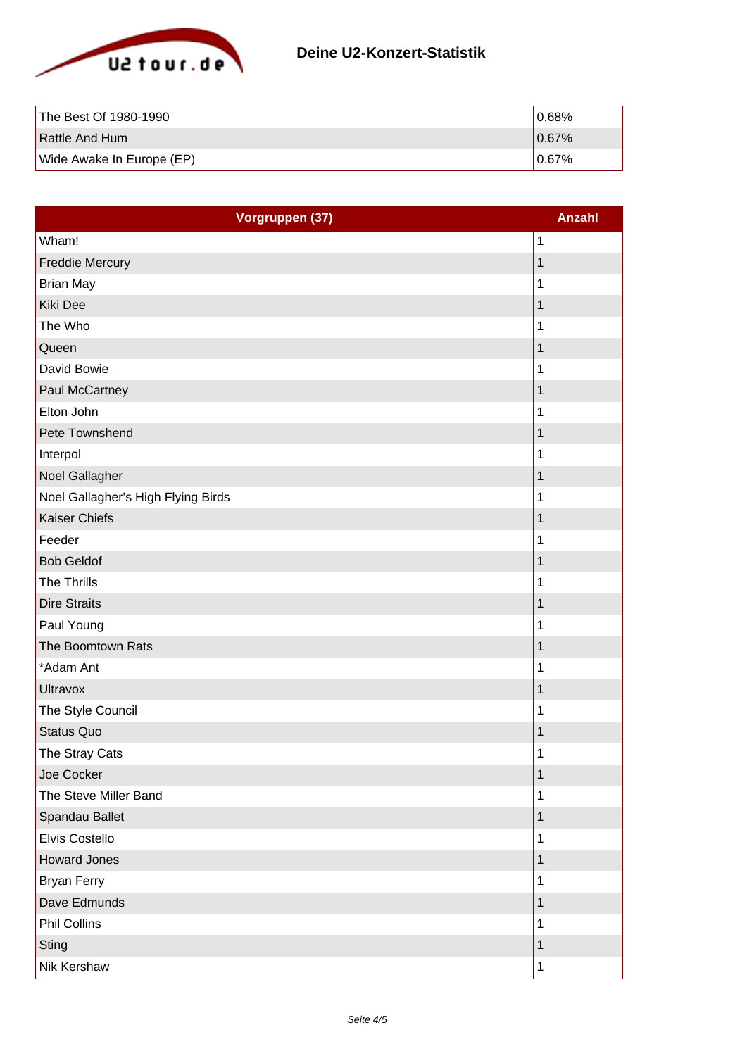

| The Best Of 1980-1990     | 10.68% |
|---------------------------|--------|
| <b>Rattle And Hum</b>     | 0.67%  |
| Wide Awake In Europe (EP) | 10.67% |

| Vorgruppen (37)                    | <b>Anzahl</b> |
|------------------------------------|---------------|
| Wham!                              | 1             |
| <b>Freddie Mercury</b>             | 1             |
| <b>Brian May</b>                   | 1             |
| Kiki Dee                           | 1             |
| The Who                            | 1             |
| Queen                              | $\mathbf 1$   |
| David Bowie                        | 1             |
| <b>Paul McCartney</b>              | $\mathbf 1$   |
| Elton John                         | 1             |
| Pete Townshend                     | 1             |
| Interpol                           | 1             |
| Noel Gallagher                     | 1             |
| Noel Gallagher's High Flying Birds | 1             |
| <b>Kaiser Chiefs</b>               | 1             |
| Feeder                             | 1             |
| <b>Bob Geldof</b>                  | 1             |
| The Thrills                        | 1             |
| <b>Dire Straits</b>                | $\mathbf 1$   |
| Paul Young                         | 1             |
| The Boomtown Rats                  | 1             |
| *Adam Ant                          | 1             |
| <b>Ultravox</b>                    | $\mathbf 1$   |
| The Style Council                  | 1             |
| <b>Status Quo</b>                  | 1             |
| The Stray Cats                     | 1             |
| Joe Cocker                         | 1             |
| The Steve Miller Band              | 1             |
| Spandau Ballet                     | 1             |
| Elvis Costello                     | 1             |
| <b>Howard Jones</b>                | 1             |
| <b>Bryan Ferry</b>                 | 1             |
| Dave Edmunds                       | $\mathbf 1$   |
| Phil Collins                       | 1             |
| <b>Sting</b>                       | 1             |
| <b>Nik Kershaw</b>                 | $\mathbf 1$   |